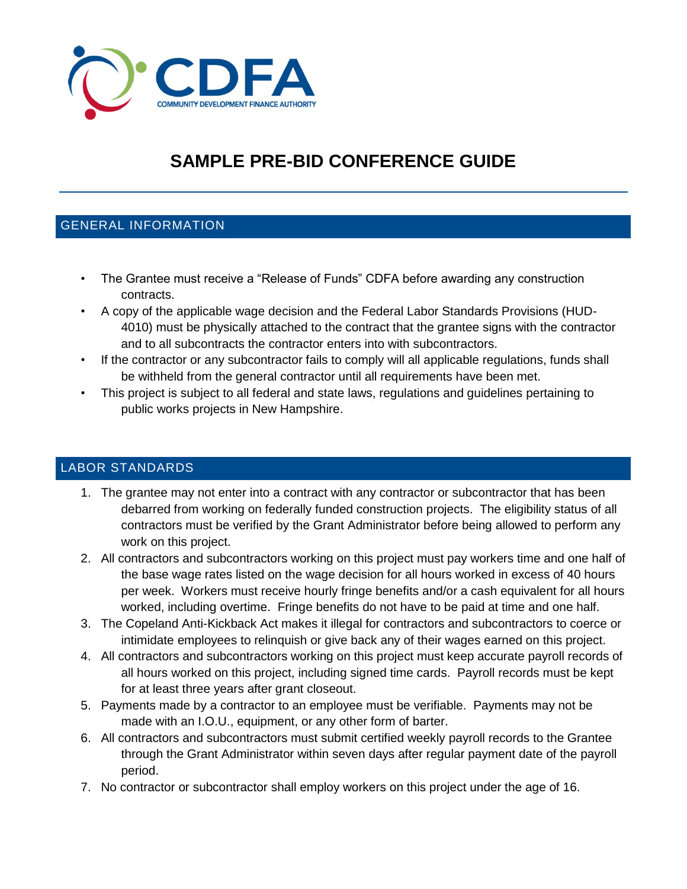

# **SAMPLE PRE-BID CONFERENCE GUIDE**

## GENERAL INFORMATION

- The Grantee must receive a "Release of Funds" CDFA before awarding any construction contracts.
- A copy of the applicable wage decision and the Federal Labor Standards Provisions (HUD-4010) must be physically attached to the contract that the grantee signs with the contractor and to all subcontracts the contractor enters into with subcontractors.
- If the contractor or any subcontractor fails to comply will all applicable regulations, funds shall be withheld from the general contractor until all requirements have been met.
- This project is subject to all federal and state laws, regulations and guidelines pertaining to public works projects in New Hampshire.

## LABOR STANDARDS

- 1. The grantee may not enter into a contract with any contractor or subcontractor that has been debarred from working on federally funded construction projects. The eligibility status of all contractors must be verified by the Grant Administrator before being allowed to perform any work on this project.
- 2. All contractors and subcontractors working on this project must pay workers time and one half of the base wage rates listed on the wage decision for all hours worked in excess of 40 hours per week. Workers must receive hourly fringe benefits and/or a cash equivalent for all hours worked, including overtime. Fringe benefits do not have to be paid at time and one half.
- 3. The Copeland Anti-Kickback Act makes it illegal for contractors and subcontractors to coerce or intimidate employees to relinquish or give back any of their wages earned on this project.
- 4. All contractors and subcontractors working on this project must keep accurate payroll records of all hours worked on this project, including signed time cards. Payroll records must be kept for at least three years after grant closeout.
- 5. Payments made by a contractor to an employee must be verifiable. Payments may not be made with an I.O.U., equipment, or any other form of barter.
- 6. All contractors and subcontractors must submit certified weekly payroll records to the Grantee through the Grant Administrator within seven days after regular payment date of the payroll period.
- 7. No contractor or subcontractor shall employ workers on this project under the age of 16.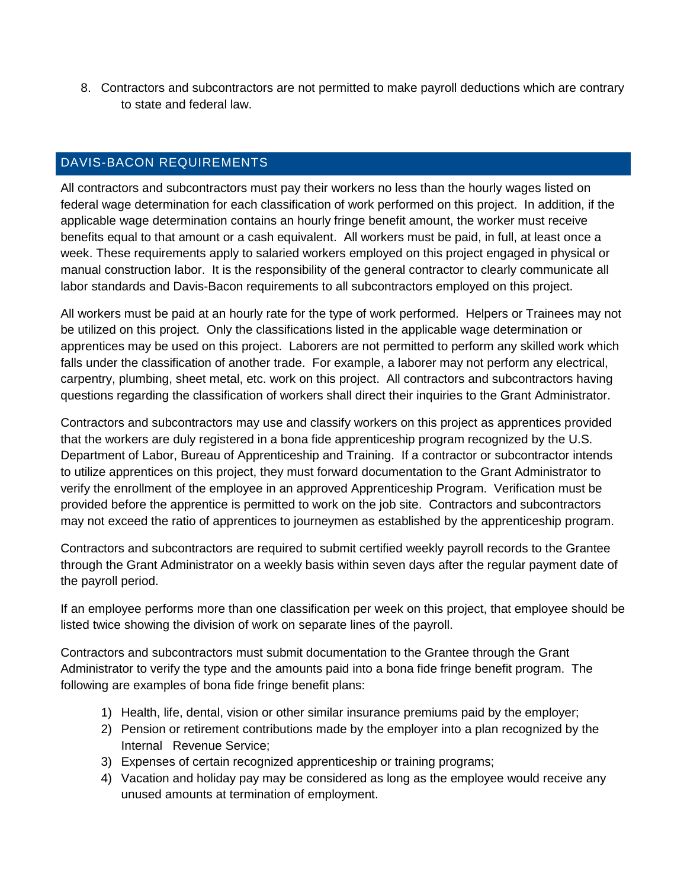8. Contractors and subcontractors are not permitted to make payroll deductions which are contrary to state and federal law.

#### DAVIS-BACON REQUIREMENTS

All contractors and subcontractors must pay their workers no less than the hourly wages listed on federal wage determination for each classification of work performed on this project. In addition, if the applicable wage determination contains an hourly fringe benefit amount, the worker must receive benefits equal to that amount or a cash equivalent. All workers must be paid, in full, at least once a week. These requirements apply to salaried workers employed on this project engaged in physical or manual construction labor. It is the responsibility of the general contractor to clearly communicate all labor standards and Davis-Bacon requirements to all subcontractors employed on this project.

All workers must be paid at an hourly rate for the type of work performed. Helpers or Trainees may not be utilized on this project. Only the classifications listed in the applicable wage determination or apprentices may be used on this project. Laborers are not permitted to perform any skilled work which falls under the classification of another trade. For example, a laborer may not perform any electrical, carpentry, plumbing, sheet metal, etc. work on this project. All contractors and subcontractors having questions regarding the classification of workers shall direct their inquiries to the Grant Administrator.

Contractors and subcontractors may use and classify workers on this project as apprentices provided that the workers are duly registered in a bona fide apprenticeship program recognized by the U.S. Department of Labor, Bureau of Apprenticeship and Training. If a contractor or subcontractor intends to utilize apprentices on this project, they must forward documentation to the Grant Administrator to verify the enrollment of the employee in an approved Apprenticeship Program. Verification must be provided before the apprentice is permitted to work on the job site. Contractors and subcontractors may not exceed the ratio of apprentices to journeymen as established by the apprenticeship program.

Contractors and subcontractors are required to submit certified weekly payroll records to the Grantee through the Grant Administrator on a weekly basis within seven days after the regular payment date of the payroll period.

If an employee performs more than one classification per week on this project, that employee should be listed twice showing the division of work on separate lines of the payroll.

Contractors and subcontractors must submit documentation to the Grantee through the Grant Administrator to verify the type and the amounts paid into a bona fide fringe benefit program. The following are examples of bona fide fringe benefit plans:

- 1) Health, life, dental, vision or other similar insurance premiums paid by the employer;
- 2) Pension or retirement contributions made by the employer into a plan recognized by the Internal Revenue Service;
- 3) Expenses of certain recognized apprenticeship or training programs;
- 4) Vacation and holiday pay may be considered as long as the employee would receive any unused amounts at termination of employment.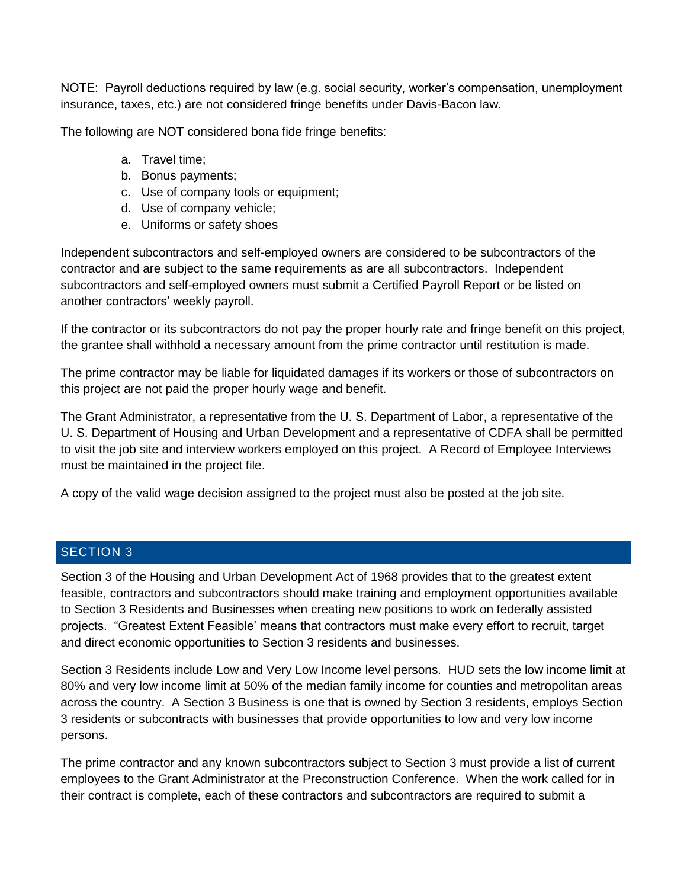NOTE: Payroll deductions required by law (e.g. social security, worker's compensation, unemployment insurance, taxes, etc.) are not considered fringe benefits under Davis-Bacon law.

The following are NOT considered bona fide fringe benefits:

- a. Travel time;
- b. Bonus payments;
- c. Use of company tools or equipment;
- d. Use of company vehicle;
- e. Uniforms or safety shoes

Independent subcontractors and self-employed owners are considered to be subcontractors of the contractor and are subject to the same requirements as are all subcontractors. Independent subcontractors and self-employed owners must submit a Certified Payroll Report or be listed on another contractors' weekly payroll.

If the contractor or its subcontractors do not pay the proper hourly rate and fringe benefit on this project, the grantee shall withhold a necessary amount from the prime contractor until restitution is made.

The prime contractor may be liable for liquidated damages if its workers or those of subcontractors on this project are not paid the proper hourly wage and benefit.

The Grant Administrator, a representative from the U. S. Department of Labor, a representative of the U. S. Department of Housing and Urban Development and a representative of CDFA shall be permitted to visit the job site and interview workers employed on this project. A Record of Employee Interviews must be maintained in the project file.

A copy of the valid wage decision assigned to the project must also be posted at the job site.

#### SECTION 3

Section 3 of the Housing and Urban Development Act of 1968 provides that to the greatest extent feasible, contractors and subcontractors should make training and employment opportunities available to Section 3 Residents and Businesses when creating new positions to work on federally assisted projects. "Greatest Extent Feasible' means that contractors must make every effort to recruit, target and direct economic opportunities to Section 3 residents and businesses.

Section 3 Residents include Low and Very Low Income level persons. HUD sets the low income limit at 80% and very low income limit at 50% of the median family income for counties and metropolitan areas across the country. A Section 3 Business is one that is owned by Section 3 residents, employs Section 3 residents or subcontracts with businesses that provide opportunities to low and very low income persons.

The prime contractor and any known subcontractors subject to Section 3 must provide a list of current employees to the Grant Administrator at the Preconstruction Conference. When the work called for in their contract is complete, each of these contractors and subcontractors are required to submit a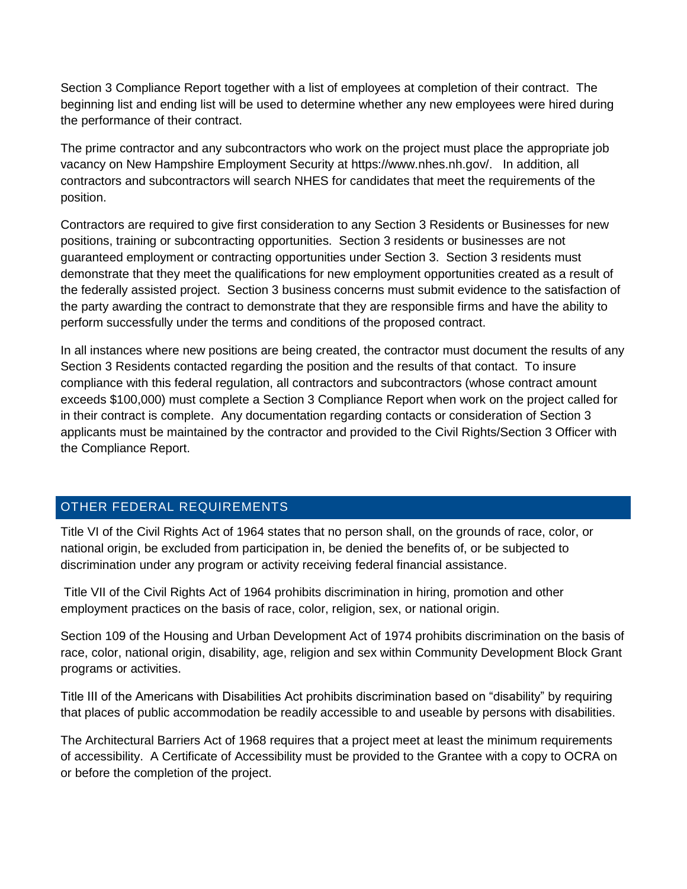Section 3 Compliance Report together with a list of employees at completion of their contract. The beginning list and ending list will be used to determine whether any new employees were hired during the performance of their contract.

The prime contractor and any subcontractors who work on the project must place the appropriate job vacancy on New Hampshire Employment Security at https://www.nhes.nh.gov/. In addition, all contractors and subcontractors will search NHES for candidates that meet the requirements of the position.

Contractors are required to give first consideration to any Section 3 Residents or Businesses for new positions, training or subcontracting opportunities. Section 3 residents or businesses are not guaranteed employment or contracting opportunities under Section 3. Section 3 residents must demonstrate that they meet the qualifications for new employment opportunities created as a result of the federally assisted project. Section 3 business concerns must submit evidence to the satisfaction of the party awarding the contract to demonstrate that they are responsible firms and have the ability to perform successfully under the terms and conditions of the proposed contract.

In all instances where new positions are being created, the contractor must document the results of any Section 3 Residents contacted regarding the position and the results of that contact. To insure compliance with this federal regulation, all contractors and subcontractors (whose contract amount exceeds \$100,000) must complete a Section 3 Compliance Report when work on the project called for in their contract is complete. Any documentation regarding contacts or consideration of Section 3 applicants must be maintained by the contractor and provided to the Civil Rights/Section 3 Officer with the Compliance Report.

## OTHER FEDERAL REQUIREMENTS

Title VI of the Civil Rights Act of 1964 states that no person shall, on the grounds of race, color, or national origin, be excluded from participation in, be denied the benefits of, or be subjected to discrimination under any program or activity receiving federal financial assistance.

Title VII of the Civil Rights Act of 1964 prohibits discrimination in hiring, promotion and other employment practices on the basis of race, color, religion, sex, or national origin.

Section 109 of the Housing and Urban Development Act of 1974 prohibits discrimination on the basis of race, color, national origin, disability, age, religion and sex within Community Development Block Grant programs or activities.

Title III of the Americans with Disabilities Act prohibits discrimination based on "disability" by requiring that places of public accommodation be readily accessible to and useable by persons with disabilities.

The Architectural Barriers Act of 1968 requires that a project meet at least the minimum requirements of accessibility. A Certificate of Accessibility must be provided to the Grantee with a copy to OCRA on or before the completion of the project.